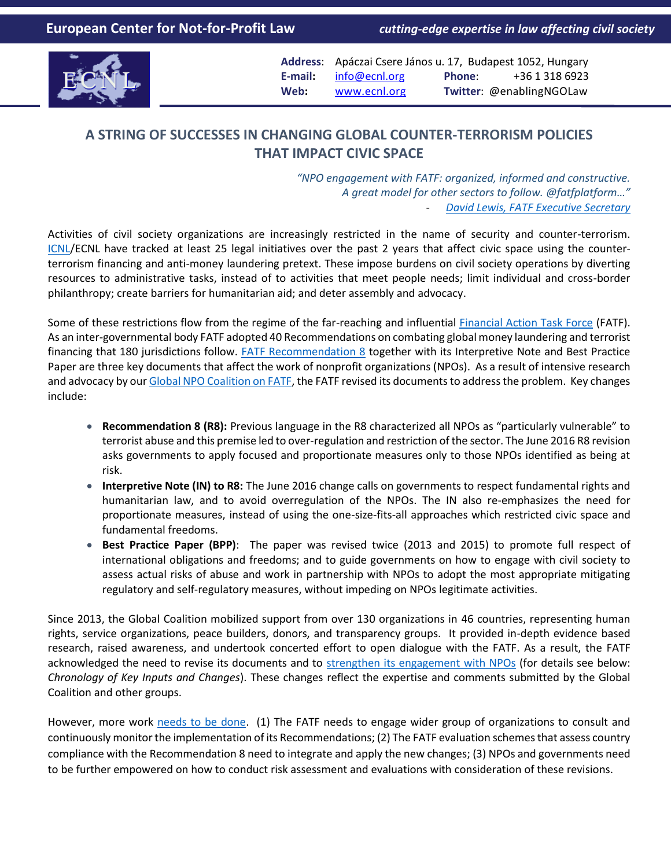

**Address**: Apáczai Csere János u. 17, Budapest 1052, Hungary **E-mail:** [info@ecnl.org](mailto:info@ecnl.org) **Phone**: +36 1 318 6923 **Web:** [www.ecnl.org](http://www.ecnl.org/) **Twitter**: @enablingNGOLaw

## **A STRING OF SUCCESSES IN CHANGING GLOBAL COUNTER-TERRORISM POLICIES THAT IMPACT CIVIC SPACE**

*"NPO engagement with FATF: organized, informed and constructive. A great model for other sectors to follow. @fatfplatform…"* - *[David Lewis, FATF Executive Secretary](https://twitter.com/djwlewis/status/689074080847400960)*

Activities of civil society organizations are increasingly restricted in the name of security and counter-terrorism. [ICNL/](http://www.icnl.org/)ECNL have tracked at least 25 legal initiatives over the past 2 years that affect civic space using the counterterrorism financing and anti-money laundering pretext. These impose burdens on civil society operations by diverting resources to administrative tasks, instead of to activities that meet people needs; limit individual and cross-border philanthropy; create barriers for humanitarian aid; and deter assembly and advocacy.

Some of these restrictions flow from the regime of the far-reaching and influential [Financial Action Task Force](http://www.fatf-gafi.org/) (FATF). As an inter-governmental body FATF adopted 40 Recommendations on combating global money laundering and terrorist financing that 180 jurisdictions follow. [FATF Recommendation 8](http://www.fatf-gafi.org/publications/fatfgeneral/documents/plenary-outcomes-june-2016.html#npo) together with its Interpretive Note and Best Practice Paper are three key documents that affect the work of nonprofit organizations (NPOs). As a result of intensive research and advocacy by ou[r Global NPO Coalition on FATF,](http://fatfplatform.org/about/) the FATF revised its documents to address the problem. Key changes include:

- **Recommendation 8 (R8):** Previous language in the R8 characterized all NPOs as "particularly vulnerable" to terrorist abuse and this premise led to over-regulation and restriction of the sector. The June 2016 R8 revision asks governments to apply focused and proportionate measures only to those NPOs identified as being at risk.
- **Interpretive Note (IN) to R8:** The June 2016 change calls on governments to respect fundamental rights and humanitarian law, and to avoid overregulation of the NPOs. The IN also re-emphasizes the need for proportionate measures, instead of using the one-size-fits-all approaches which restricted civic space and fundamental freedoms.
- **Best Practice Paper (BPP)**: The paper was revised twice (2013 and 2015) to promote full respect of international obligations and freedoms; and to guide governments on how to engage with civil society to assess actual risks of abuse and work in partnership with NPOs to adopt the most appropriate mitigating regulatory and self-regulatory measures, without impeding on NPOs legitimate activities.

Since 2013, the Global Coalition mobilized support from over 130 organizations in 46 countries, representing human rights, service organizations, peace builders, donors, and transparency groups. It provided in-depth evidence based research, raised awareness, and undertook concerted effort to open dialogue with the FATF. As a result, the FATF acknowledged the need to revise its documents and to [strengthen its engagement with NPOs](http://fatfplatform.org/announcement/annual-formalised-consultation-with-npos-agreed-at-fatf-plenary/) (for details see below: *Chronology of Key Inputs and Changes*). These changes reflect the expertise and comments submitted by the Global Coalition and other groups.

However, more work [needs to be done.](https://www.opensocietyfoundations.org/voices/big-impact-little-known-recommendation-8) (1) The FATF needs to engage wider group of organizations to consult and continuously monitor the implementation of its Recommendations; (2) The FATF evaluation schemes that assess country compliance with the Recommendation 8 need to integrate and apply the new changes; (3) NPOs and governments need to be further empowered on how to conduct risk assessment and evaluations with consideration of these revisions.